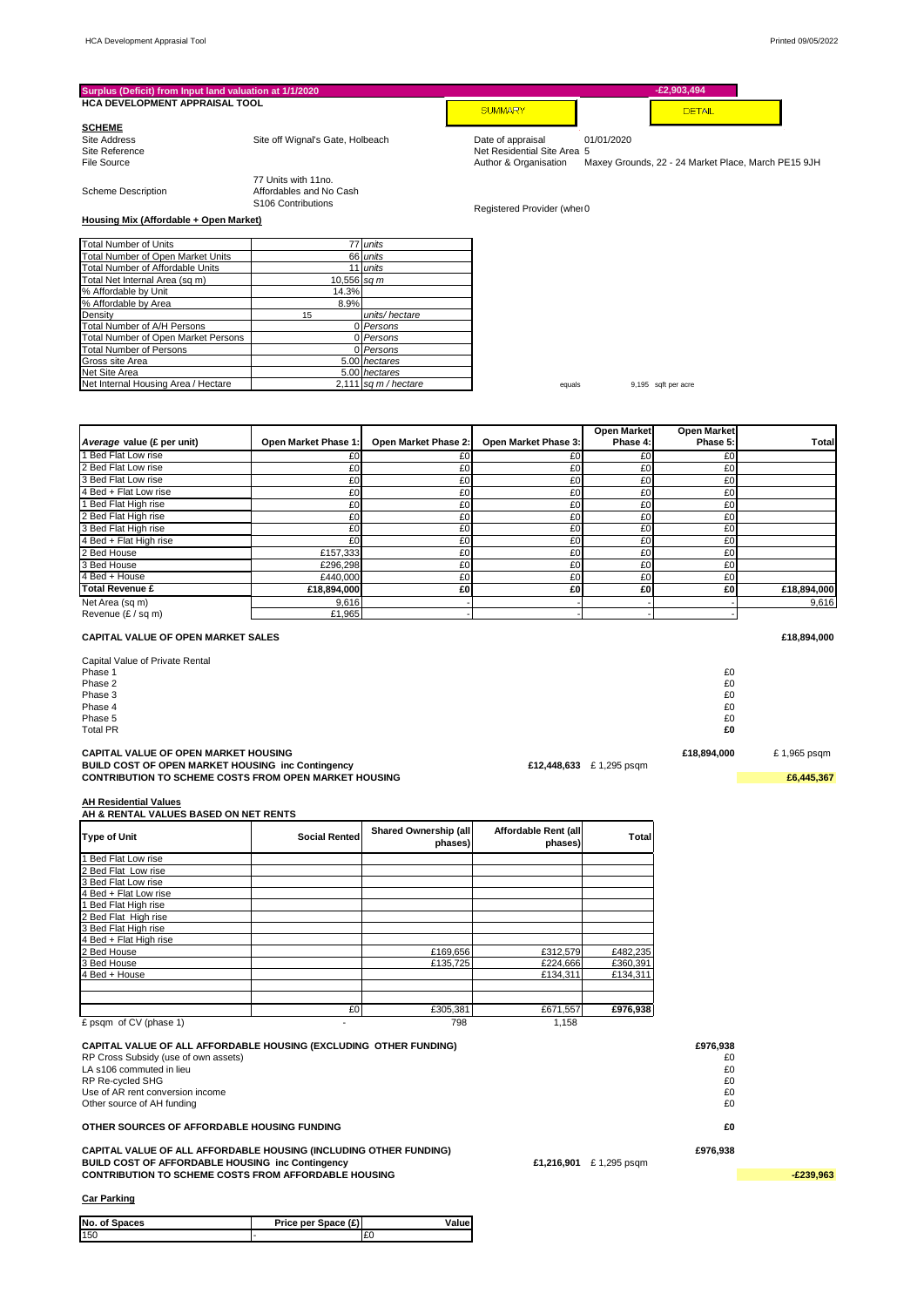| Surplus (Deficit) from Input land valuation at 1/1/2020                                                           |                                                |                                  |                                 |                          | $-E2,903,494$       |                                                     |
|-------------------------------------------------------------------------------------------------------------------|------------------------------------------------|----------------------------------|---------------------------------|--------------------------|---------------------|-----------------------------------------------------|
| HCA DEVELOPMENT APPRAISAL TOOL                                                                                    |                                                |                                  | <b>SUMMARY</b>                  |                          | <b>DETAIL</b>       |                                                     |
| <b>SCHEME</b>                                                                                                     |                                                |                                  |                                 |                          |                     |                                                     |
| Site Address                                                                                                      | Site off Wignal's Gate, Holbeach               |                                  | Date of appraisal               | 01/01/2020               |                     |                                                     |
| Site Reference                                                                                                    |                                                |                                  | Net Residential Site Area 5     |                          |                     |                                                     |
| File Source                                                                                                       |                                                |                                  | Author & Organisation           |                          |                     | Maxey Grounds, 22 - 24 Market Place, March PE15 9JH |
| <b>Scheme Description</b>                                                                                         | 77 Units with 11no.<br>Affordables and No Cash |                                  |                                 |                          |                     |                                                     |
| Housing Mix (Affordable + Open Market)                                                                            | S <sub>106</sub> Contributions                 |                                  | Registered Provider (whei 0     |                          |                     |                                                     |
|                                                                                                                   |                                                |                                  |                                 |                          |                     |                                                     |
| <b>Total Number of Units</b>                                                                                      |                                                | 77 units                         |                                 |                          |                     |                                                     |
| Total Number of Open Market Units<br>Total Number of Affordable Units                                             | 66                                             | units<br>11 units                |                                 |                          |                     |                                                     |
| Total Net Internal Area (sq m)                                                                                    | $10,556$ sq m                                  |                                  |                                 |                          |                     |                                                     |
| % Affordable by Unit                                                                                              | 14.3%                                          |                                  |                                 |                          |                     |                                                     |
| % Affordable by Area                                                                                              | 8.9%                                           |                                  |                                 |                          |                     |                                                     |
| Density                                                                                                           | 15                                             | units/hectare                    |                                 |                          |                     |                                                     |
| Total Number of A/H Persons                                                                                       |                                                | 0 Persons                        |                                 |                          |                     |                                                     |
| Total Number of Open Market Persons<br><b>Total Number of Persons</b>                                             |                                                | 0 Persons<br>0 Persons           |                                 |                          |                     |                                                     |
| Gross site Area                                                                                                   |                                                | 5.00 hectares                    |                                 |                          |                     |                                                     |
| Net Site Area                                                                                                     |                                                | 5.00 hectares                    |                                 |                          |                     |                                                     |
| Net Internal Housing Area / Hectare                                                                               |                                                | 2,111 sq $m/h$ ectare            | equals                          |                          | 9,195 sqft per acre |                                                     |
|                                                                                                                   |                                                |                                  |                                 |                          |                     |                                                     |
|                                                                                                                   |                                                |                                  |                                 | <b>Open Market</b>       | <b>Open Market</b>  |                                                     |
| Average value (£ per unit)                                                                                        | Open Market Phase 1                            | Open Market Phase 2:             | Open Market Phase 3:            | Phase 4:                 | Phase 5:            | Tota                                                |
| 1 Bed Flat Low rise                                                                                               | £0                                             | £0                               | £0                              | £0                       | £0                  |                                                     |
| 2 Bed Flat Low rise                                                                                               | £0                                             | £0                               | £0                              | £0                       | £0                  |                                                     |
| 3 Bed Flat Low rise                                                                                               | £0                                             | £0                               | £0                              | £0                       | £0                  |                                                     |
| 4 Bed + Flat Low rise                                                                                             | £0                                             | £0                               | £0                              | £0                       | £0                  |                                                     |
| 1 Bed Flat High rise<br>2 Bed Flat High rise                                                                      | £0<br>£0                                       | £0<br>£0                         | £0<br>£0                        | £0<br>£0                 | £0<br>£0            |                                                     |
| 3 Bed Flat High rise                                                                                              | £0                                             | £0                               | £0                              | £0                       | £0                  |                                                     |
| 4 Bed + Flat High rise                                                                                            | £0                                             | £0                               | £0                              | £0                       | £0                  |                                                     |
| 2 Bed House                                                                                                       | £157,333                                       | £0                               | £0                              | £0                       | £0                  |                                                     |
| 3 Bed House                                                                                                       | £296,298                                       | £0                               | £0                              | £0                       | £0                  |                                                     |
| 4 Bed + House                                                                                                     | £440,000                                       | £0                               | £0                              | £0                       | £0                  |                                                     |
| <b>Total Revenue £</b>                                                                                            | £18,894,000                                    | £0                               | £0                              | £0                       | £0                  | £18,894,000                                         |
| Net Area (sq m)                                                                                                   | 9,616                                          |                                  |                                 |                          |                     | 9,616                                               |
| Revenue (£ / sq m)                                                                                                | £1,965                                         |                                  |                                 |                          |                     |                                                     |
| CAPITAL VALUE OF OPEN MARKET SALES                                                                                |                                                |                                  |                                 |                          |                     | £18,894,000                                         |
| Capital Value of Private Rental                                                                                   |                                                |                                  |                                 |                          |                     |                                                     |
| Phase 1                                                                                                           |                                                |                                  |                                 |                          | £0                  |                                                     |
| Phase 2<br>Phase 3                                                                                                |                                                |                                  |                                 |                          | £0<br>£0            |                                                     |
| Phase 4                                                                                                           |                                                |                                  |                                 |                          | £0                  |                                                     |
| Phase 5                                                                                                           |                                                |                                  |                                 |                          | £0                  |                                                     |
| <b>Total PR</b>                                                                                                   |                                                |                                  |                                 |                          | £0                  |                                                     |
|                                                                                                                   |                                                |                                  |                                 |                          |                     |                                                     |
| CAPITAL VALUE OF OPEN MARKET HOUSING                                                                              |                                                |                                  |                                 |                          | £18,894,000         | £1,965 psqm                                         |
| BUILD COST OF OPEN MARKET HOUSING inc Contingency<br><b>CONTRIBUTION TO SCHEME COSTS FROM OPEN MARKET HOUSING</b> |                                                |                                  |                                 | £12,448,633 £ 1,295 psqm |                     | £6,445,367                                          |
|                                                                                                                   |                                                |                                  |                                 |                          |                     |                                                     |
| <b>AH Residential Values</b><br>AH & RENTAL VALUES BASED ON NET RENTS                                             |                                                |                                  |                                 |                          |                     |                                                     |
| <b>Type of Unit</b>                                                                                               | <b>Social Rented</b>                           | Shared Ownership (all<br>phases) | Affordable Rent (all<br>phases) | Total                    |                     |                                                     |
| 1 Bed Flat Low rise                                                                                               |                                                |                                  |                                 |                          |                     |                                                     |
| 2 Bed Flat Low rise                                                                                               |                                                |                                  |                                 |                          |                     |                                                     |
| 3 Bed Flat Low rise                                                                                               |                                                |                                  |                                 |                          |                     |                                                     |
| 4 Bed + Flat Low rise                                                                                             |                                                |                                  |                                 |                          |                     |                                                     |
| Bed Flat High rise                                                                                                |                                                |                                  |                                 |                          |                     |                                                     |
| 2 Bed Flat High rise                                                                                              |                                                |                                  |                                 |                          |                     |                                                     |
| 3 Bed Flat High rise<br>4 Bed + Flat High rise                                                                    |                                                |                                  |                                 |                          |                     |                                                     |
| 2 Bed House                                                                                                       |                                                | £169,656                         | £312,579                        | £482,235                 |                     |                                                     |
| 3 Bed House                                                                                                       |                                                | £135,725                         | £224,666                        | £360,391                 |                     |                                                     |
| 4 Bed + House                                                                                                     |                                                |                                  | £134,311                        | £134,311                 |                     |                                                     |
|                                                                                                                   |                                                |                                  |                                 |                          |                     |                                                     |
|                                                                                                                   | £0                                             | £305,381                         | £671,557                        | £976,938                 |                     |                                                     |
| £ psqm of CV (phase 1)                                                                                            | $\overline{a}$                                 | 798                              | 1,158                           |                          |                     |                                                     |
| CAPITAL VALUE OF ALL AFFORDABLE HOUSING (EXCLUDING OTHER FUNDING)                                                 |                                                |                                  |                                 |                          | £976,938            |                                                     |
| RP Cross Subsidy (use of own assets)                                                                              |                                                |                                  |                                 |                          | £0                  |                                                     |
| LA s106 commuted in lieu                                                                                          |                                                |                                  |                                 |                          | £0                  |                                                     |
| RP Re-cycled SHG                                                                                                  |                                                |                                  |                                 |                          | £0                  |                                                     |
| Use of AR rent conversion income                                                                                  |                                                |                                  |                                 |                          | £0                  |                                                     |
| Other source of AH funding                                                                                        |                                                |                                  |                                 |                          | £0                  |                                                     |
| OTHER SOURCES OF AFFORDABLE HOUSING FUNDING                                                                       |                                                |                                  |                                 |                          | £0                  |                                                     |

CAPITAL VALUE OF ALL AFFORDABLE HOUSING (INCLUDING OTHER FUNDING)<br>BUILD COST OF AFFORDABLE HOUSING inc Contingency<br>CONTRIBUTION TO SCHEME COSTS FROM AFFORDABLE HOUSING £1,216,901 £ 1,295 psqm

**Car Parking**

| No. of Spaces | Price per Space (£) | alue/ |  |
|---------------|---------------------|-------|--|
| 150           |                     |       |  |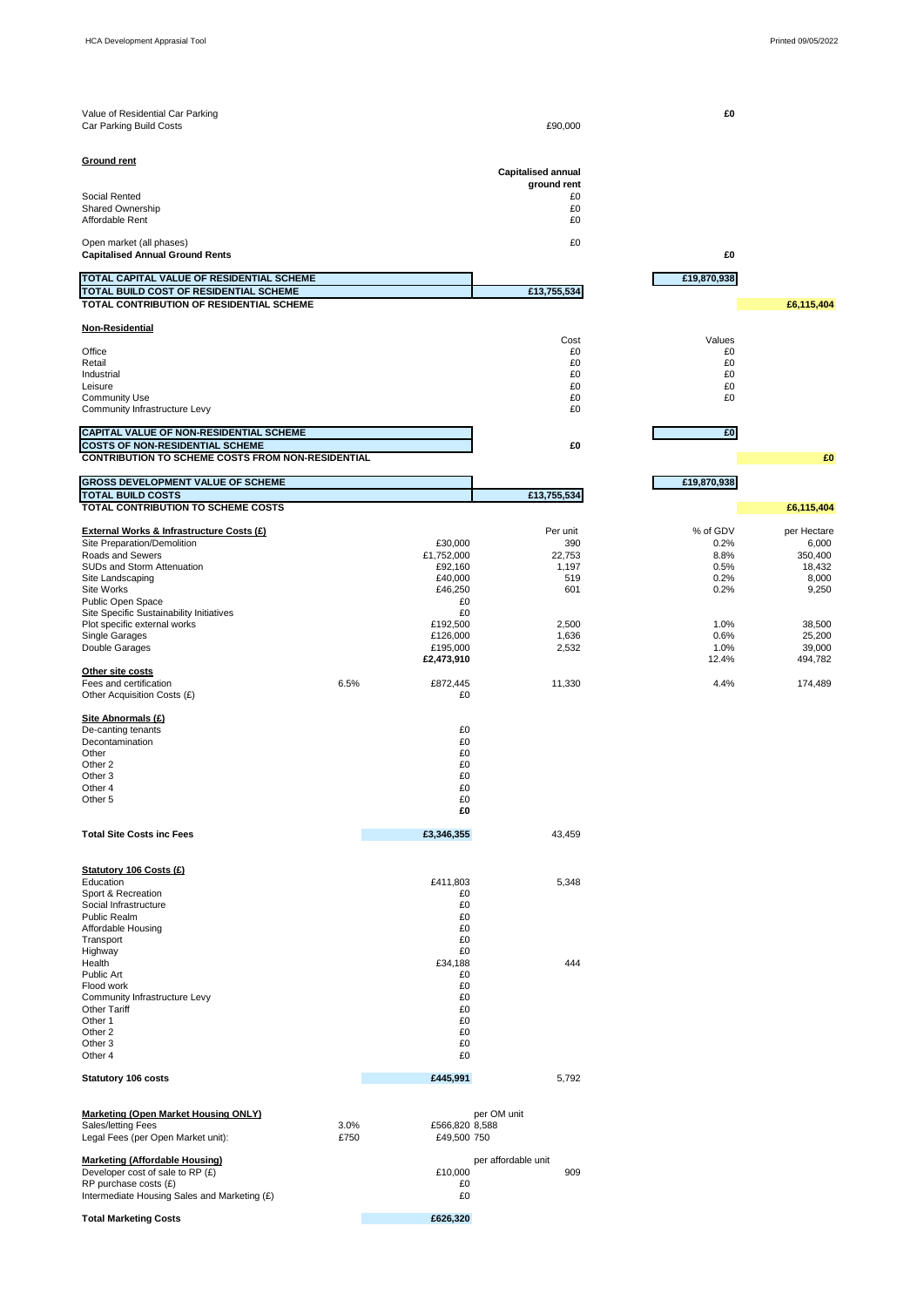| Value of Residential Car Parking<br>Car Parking Build Costs                         |              |                               | £90,000                                  | £O           |                  |
|-------------------------------------------------------------------------------------|--------------|-------------------------------|------------------------------------------|--------------|------------------|
| <b>Ground rent</b>                                                                  |              |                               |                                          |              |                  |
|                                                                                     |              |                               | <b>Capitalised annual</b><br>ground rent |              |                  |
| Social Rented                                                                       |              |                               | £0                                       |              |                  |
| <b>Shared Ownership</b>                                                             |              |                               | £0                                       |              |                  |
| Affordable Rent                                                                     |              |                               | £0                                       |              |                  |
| Open market (all phases)<br><b>Capitalised Annual Ground Rents</b>                  |              |                               | £0                                       | £0           |                  |
|                                                                                     |              |                               |                                          |              |                  |
| TOTAL CAPITAL VALUE OF RESIDENTIAL SCHEME<br>TOTAL BUILD COST OF RESIDENTIAL SCHEME |              |                               | £13,755,534                              | £19,870,938  |                  |
| TOTAL CONTRIBUTION OF RESIDENTIAL SCHEME                                            |              |                               |                                          |              | £6,115,404       |
| Non-Residential                                                                     |              |                               |                                          |              |                  |
|                                                                                     |              |                               | Cost                                     | Values       |                  |
| Office<br>Retail                                                                    |              |                               | £0<br>£0                                 | £0<br>£0     |                  |
| Industrial                                                                          |              |                               | £0                                       | £0           |                  |
| Leisure<br><b>Community Use</b>                                                     |              |                               | £0<br>£0                                 | £0<br>£0     |                  |
| Community Infrastructure Levy                                                       |              |                               | £0                                       |              |                  |
| CAPITAL VALUE OF NON-RESIDENTIAL SCHEME                                             |              |                               |                                          | £O           |                  |
| <b>COSTS OF NON-RESIDENTIAL SCHEME</b>                                              |              |                               | £0                                       |              |                  |
| <b>CONTRIBUTION TO SCHEME COSTS FROM NON-RESIDENTIAL</b>                            |              |                               |                                          |              | £                |
| GROSS DEVELOPMENT VALUE OF SCHEME                                                   |              |                               |                                          | £19,870,938  |                  |
| <b>TOTAL BUILD COSTS</b>                                                            |              |                               | £13,755,534                              |              |                  |
| TOTAL CONTRIBUTION TO SCHEME COSTS                                                  |              |                               |                                          |              | £6,115,404       |
| External Works & Infrastructure Costs (£)                                           |              |                               | Per unit                                 | % of GDV     | per Hectare      |
| Site Preparation/Demolition                                                         |              | £30,000                       | 390                                      | 0.2%         | 6,000            |
| Roads and Sewers                                                                    |              | £1,752,000                    | 22,753                                   | 8.8%         | 350,400          |
| SUDs and Storm Attenuation<br>Site Landscaping                                      |              | £92,160<br>£40,000            | 1,197<br>519                             | 0.5%<br>0.2% | 18,432<br>8,000  |
| Site Works                                                                          |              | £46,250                       | 601                                      | 0.2%         | 9,250            |
| Public Open Space<br>Site Specific Sustainability Initiatives                       |              | £0<br>£0                      |                                          |              |                  |
| Plot specific external works                                                        |              | £192,500                      | 2,500                                    | 1.0%         | 38,500           |
| Single Garages                                                                      |              | £126,000<br>£195,000          | 1,636<br>2,532                           | 0.6%<br>1.0% | 25,200<br>39,000 |
| Double Garages                                                                      |              | £2,473,910                    |                                          | 12.4%        | 494,782          |
| Other site costs                                                                    |              |                               |                                          |              |                  |
| Fees and certification<br>Other Acquisition Costs (£)                               | 6.5%         | £872,445<br>£0                | 11,330                                   | 4.4%         | 174,489          |
| Site Abnormals (£)                                                                  |              |                               |                                          |              |                  |
| De-canting tenants                                                                  |              | £0                            |                                          |              |                  |
| Decontamination<br>Other                                                            |              | £0<br>£0                      |                                          |              |                  |
| Other 2                                                                             |              | £0                            |                                          |              |                  |
| Other <sub>3</sub><br>Other 4                                                       |              | £0<br>£0                      |                                          |              |                  |
| Other <sub>5</sub>                                                                  |              | £0                            |                                          |              |                  |
|                                                                                     |              | £O                            |                                          |              |                  |
| <b>Total Site Costs inc Fees</b>                                                    |              | £3,346,355                    | 43,459                                   |              |                  |
|                                                                                     |              |                               |                                          |              |                  |
| Statutory 106 Costs (£)<br>Education                                                |              |                               |                                          |              |                  |
| Sport & Recreation                                                                  |              | £411,803<br>£0                | 5,348                                    |              |                  |
| Social Infrastructure                                                               |              | £0                            |                                          |              |                  |
| Public Realm<br>Affordable Housing                                                  |              | £0<br>£0                      |                                          |              |                  |
| Transport                                                                           |              | £0                            |                                          |              |                  |
| Highway<br>Health                                                                   |              | £0<br>£34,188                 | 444                                      |              |                  |
| Public Art                                                                          |              | £0                            |                                          |              |                  |
| Flood work                                                                          |              | £0                            |                                          |              |                  |
| Community Infrastructure Levy<br><b>Other Tariff</b>                                |              | £0<br>£0                      |                                          |              |                  |
| Other 1                                                                             |              | £0                            |                                          |              |                  |
| Other 2<br>Other 3                                                                  |              | £0<br>£0                      |                                          |              |                  |
| Other 4                                                                             |              | £0                            |                                          |              |                  |
| <b>Statutory 106 costs</b>                                                          |              | £445,991                      | 5,792                                    |              |                  |
|                                                                                     |              |                               |                                          |              |                  |
| <b>Marketing (Open Market Housing ONLY)</b>                                         |              |                               | per OM unit                              |              |                  |
| Sales/letting Fees<br>Legal Fees (per Open Market unit):                            | 3.0%<br>£750 | £566,820 8,588<br>£49,500 750 |                                          |              |                  |
|                                                                                     |              |                               |                                          |              |                  |
| <b>Marketing (Affordable Housing)</b><br>Developer cost of sale to RP (£)           |              | £10.000                       | per affordable unit<br>909               |              |                  |

Developer cost of sale to RP (£) £10,000 909 RP purchase costs (£) £0 Intermediate Housing Sales and Marketing (£) £0

**Total Marketing Costs 2026,320**